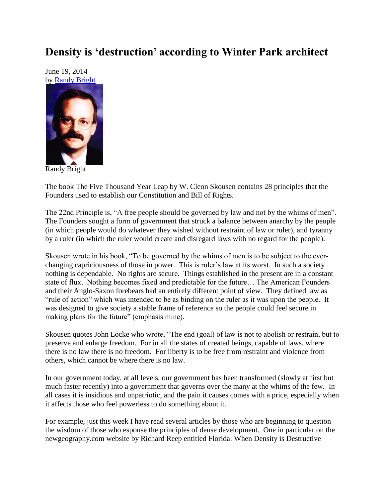## **Density is 'destruction' according to Winter Park architect**

June 19, 2014 by [Randy Bright](http://tulsabeacon.com/writers/randy-bright/)



Randy Bright

The book The Five Thousand Year Leap by W. Cleon Skousen contains 28 principles that the Founders used to establish our Constitution and Bill of Rights.

The 22nd Principle is, "A free people should be governed by law and not by the whims of men". The Founders sought a form of government that struck a balance between anarchy by the people (in which people would do whatever they wished without restraint of law or ruler), and tyranny by a ruler (in which the ruler would create and disregard laws with no regard for the people).

Skousen wrote in his book, "To be governed by the whims of men is to be subject to the everchanging capriciousness of those in power. This is ruler"s law at its worst. In such a society nothing is dependable. No rights are secure. Things established in the present are in a constant state of flux. Nothing becomes fixed and predictable for the future… The American Founders and their Anglo-Saxon forebears had an entirely different point of view. They defined law as "rule of action" which was intended to be as binding on the ruler as it was upon the people. It was designed to give society a stable frame of reference so the people could feel secure in making plans for the future" (emphasis mine).

Skousen quotes John Locke who wrote, "The end (goal) of law is not to abolish or restrain, but to preserve and enlarge freedom. For in all the states of created beings, capable of laws, where there is no law there is no freedom. For liberty is to be free from restraint and violence from others, which cannot be where there is no law.

In our government today, at all levels, our government has been transformed (slowly at first but much faster recently) into a government that governs over the many at the whims of the few. In all cases it is insidious and unpatriotic, and the pain it causes comes with a price, especially when it affects those who feel powerless to do something about it.

For example, just this week I have read several articles by those who are beginning to question the wisdom of those who espouse the principles of dense development. One in particular on the newgeography.com website by Richard Reep entitled Florida: When Density is Destructive